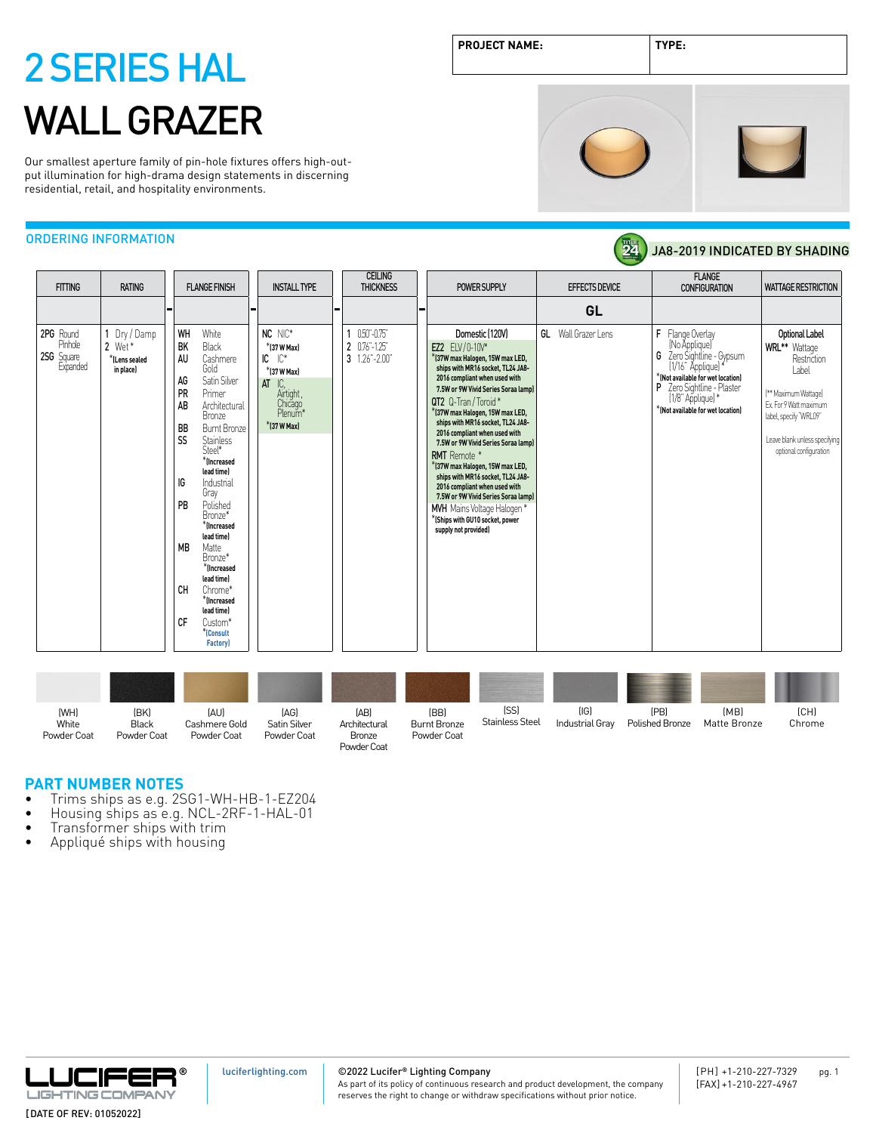Our smallest aperture family of pin-hole fixtures offers high-output illumination for high-drama design statements in discerning residential, retail, and hospitality environments.

### ORDERING INFORMATION

|                                                       |                                                         |                                                                                                                                                                                                                                                                                                                                                                                                                                                                        |                                                                                                                  | <b>CEILING</b>                                      |                                                                                                                                                                                                                                                                                                                                                                                                                                                                                                                                                                                                                             |                            | <b>FLANGE</b>                                                                                                                                                                                                  |                                                                                                                                                                                                       |
|-------------------------------------------------------|---------------------------------------------------------|------------------------------------------------------------------------------------------------------------------------------------------------------------------------------------------------------------------------------------------------------------------------------------------------------------------------------------------------------------------------------------------------------------------------------------------------------------------------|------------------------------------------------------------------------------------------------------------------|-----------------------------------------------------|-----------------------------------------------------------------------------------------------------------------------------------------------------------------------------------------------------------------------------------------------------------------------------------------------------------------------------------------------------------------------------------------------------------------------------------------------------------------------------------------------------------------------------------------------------------------------------------------------------------------------------|----------------------------|----------------------------------------------------------------------------------------------------------------------------------------------------------------------------------------------------------------|-------------------------------------------------------------------------------------------------------------------------------------------------------------------------------------------------------|
|                                                       | <b>FITTING</b><br><b>RATING</b><br><b>FLANGE FINISH</b> |                                                                                                                                                                                                                                                                                                                                                                                                                                                                        | <b>INSTALL TYPE</b>                                                                                              | <b>THICKNESS</b>                                    | POWER SUPPLY                                                                                                                                                                                                                                                                                                                                                                                                                                                                                                                                                                                                                | <b>EFFECTS DEVICE</b>      | <b>CONFIGURATION</b>                                                                                                                                                                                           | <b>WATTAGE RESTRICTION</b>                                                                                                                                                                            |
|                                                       |                                                         |                                                                                                                                                                                                                                                                                                                                                                                                                                                                        | . ـ                                                                                                              | ۰.                                                  |                                                                                                                                                                                                                                                                                                                                                                                                                                                                                                                                                                                                                             | GL                         |                                                                                                                                                                                                                |                                                                                                                                                                                                       |
| 2PG Round<br><b>Pinhole</b><br>2SG Square<br>Expanded | 1 Dry / Damp<br>$2$ Wet*<br>*ILens sealed<br>in place)  | WH<br>White<br>BK<br>Black<br>AU<br>Cashmere<br>Gold<br>AG<br>Satin Silver<br>PR<br>Primer<br>AB<br>Architectural<br>Bronze<br><b>BB</b><br>Burnt Bronze<br>SS<br><b>Stainless</b><br>Steel*<br>*Increased<br>lead time)<br>IG<br>Industrial<br>Gray<br>PB<br>Polished<br>Bronze*<br>*Increased<br>lead time)<br><b>MB</b><br>Matte<br>Bronze*<br>*Increased<br>lead time)<br>CH<br>Chrome*<br>*Increased<br>lead time)<br>CF<br>Custom*<br>*Consult<br><b>Factory</b> | NC NIC*<br>*[37 W Max]<br>$IC \t C^*$<br>$*$ (37 W Max)<br>$AT$ $IC$ .<br>Airtight,<br>Chicago<br>$*$ (37 W Max) | $0.50 - 0.75$<br>2 0.76"-1.25"<br>$3 1.26" - 2.00"$ | Domestic (120V)<br>EZ2 ELV/0-10V*<br>*(37W max Halogen, 15W max LED,<br>ships with MR16 socket, TL24 JA8-<br>2016 compliant when used with<br>7.5W or 9W Vivid Series Soraa lamp)<br>QT2 Q-Tran/Toroid*<br>*(37W max Halogen, 15W max LED,<br>ships with MR16 socket, TL24 JA8-<br>2016 compliant when used with<br>7.5W or 9W Vivid Series Soraa lamp)<br><b>RMT</b> Remote *<br>*(37W max Halogen, 15W max LED,<br>ships with MR16 socket, TL24 JA8-<br>2016 compliant when used with<br>7.5W or 9W Vivid Series Soraa lamp)<br>MVH Mains Voltage Halogen *<br>$*$ (Ships with GU10 socket, power<br>supply not provided) | <b>GL</b> Wall Grazer Lens | F Flange Overlay<br>(No Ápplique)<br>G Zero Sightline - Gypsum<br>[1/16" Applique]<br>*(Not available for wet location)<br>P Zero Sightline - Plaster<br>[1/8" Applique]*<br>*INot available for wet location] | Optional Label<br><b>WRL**</b> Wattage<br>Restriction<br>Label<br>[** Maximum Wattage]<br>Ex. For 9 Watt maximum<br>label, specify "WRL09"<br>Leave blank unless specifying<br>optional configuration |

| (WH)<br>White<br>Powder Coat | (BK)<br><b>Black</b><br>Powder Coat | [AU]<br>Cashmere Gold<br>Powder Coat | [AG]<br>Satin Silver<br>Powder Coat | [AB]<br>Architectural<br>Bronze<br>Powder Coat | (BB)<br><b>Burnt Bronze</b><br>Powder Coat | [SS]<br>Stainless Steel | (IG)<br>Industrial Gray | (PB)<br>Polished Bronze | (MB)<br>Matte Bronze | [CH]<br>Chrome |
|------------------------------|-------------------------------------|--------------------------------------|-------------------------------------|------------------------------------------------|--------------------------------------------|-------------------------|-------------------------|-------------------------|----------------------|----------------|

- **PART NUMBER NOTES**<br>• Trims ships as e.g. 2SG1-WH-HB-1-EZ204
- Trims ships as e.g. 2SG1-WH-HB-1-EZ204<br>• Housing ships as e.g. NCL-2RF-1-HAL-01<br>• Transformer ships with trim<br>• Appliqué ships with housing
- 
- 



[luciferlighting.com](http://luciferlighting.com/)

### ©2022 Lucifer**®** Lighting Company









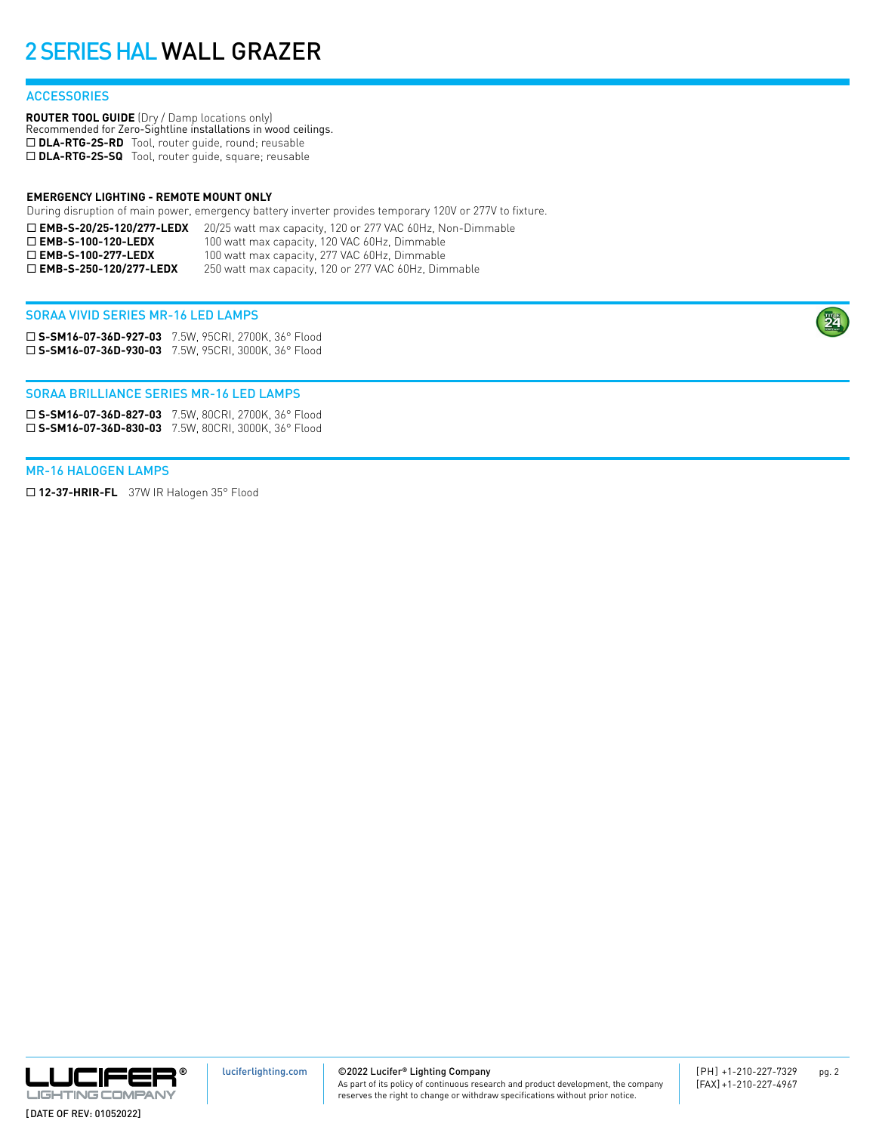### **ACCESSORIES**

**ROUTER TOOL GUIDE** (Dry / Damp locations only) Recommended for Zero-Sightline installations in wood ceilings. □ DLA-RTG-2S-RD Tool, router guide, round; reusable □ DLA-RTG-2S-SQ Tool, router guide, square; reusable

#### **EMERGENCY LIGHTING - REMOTE MOUNT ONLY**

During disruption of main power, emergency battery inverter provides temporary 120V or 277V to fixture.

| $\square$ EMB-S-20/25-120/277-LEDX | 20/25 watt max capacity, 120 or 277 VAC 60Hz, Non-Dimmable |
|------------------------------------|------------------------------------------------------------|
| $\Box$ EMB-S-100-120-LEDX          | 100 watt max capacity, 120 VAC 60Hz, Dimmable              |
| $\Box$ EMB-S-100-277-LEDX          | 100 watt max capacity, 277 VAC 60Hz, Dimmable              |
| $\Box$ EMB-S-250-120/277-LEDX      | 250 watt max capacity, 120 or 277 VAC 60Hz, Dimmable       |

#### SORAA VIVID SERIES MR-16 LED LAMPS

¨ **S-SM16-07-36D-927-03** 7.5W, 95CRI, 2700K, 36° Flood ¨ **S-SM16-07-36D-930-03** 7.5W, 95CRI, 3000K, 36° Flood

#### SORAA BRILLIANCE SERIES MR-16 LED LAMPS

¨ **S-SM16-07-36D-827-03** 7.5W, 80CRI, 2700K, 36° Flood ¨ **S-SM16-07-36D-830-03** 7.5W, 80CRI, 3000K, 36° Flood

#### MR-16 HALOGEN LAMPS

□ 12-37-HRIR-FL 37W IR Halogen 35° Flood



©2022 Lucifer**®** Lighting Company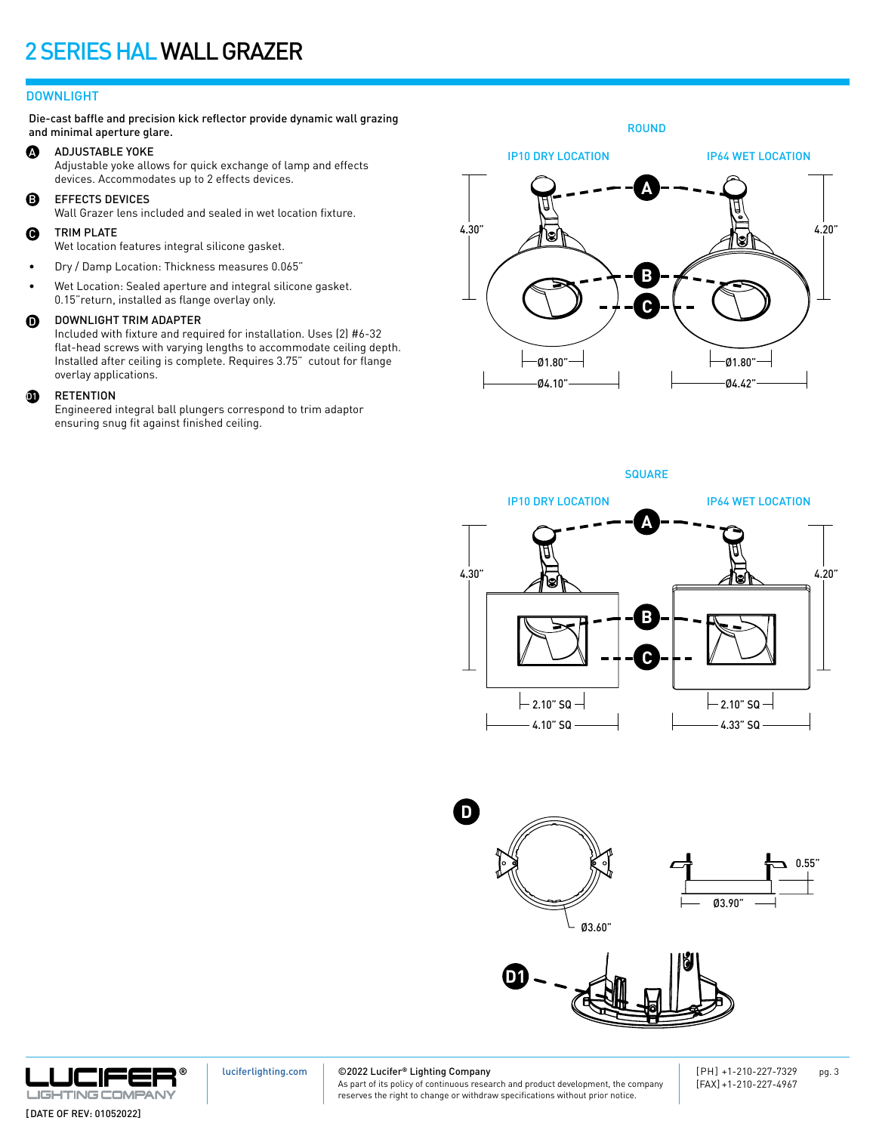### DOWNLIGHT

Die-cast baffle and precision kick reflector provide dynamic wall grazing and minimal aperture glare.

#### A ADJUSTABLE YOKE

Adjustable yoke allows for quick exchange of lamp and effects devices. Accommodates up to 2 effects devices.

B EFFECTS DEVICES

Wall Grazer lens included and sealed in wet location fixture.

#### $\boldsymbol{\Theta}$ TRIM PLATE

Wet location features integral silicone gasket.

- Dry / Damp Location: Thickness measures 0.065"
- Wet Location: Sealed aperture and integral silicone gasket. 0.15"return, installed as flange overlay only.

#### $\mathbf 0$ DOWNLIGHT TRIM ADAPTER

Included with fixture and required for installation. Uses (2) #6-32 flat-head screws with varying lengths to accommodate ceiling depth. Installed after ceiling is complete. Requires 3.75" cutout for flange overlay applications.

#### $\bf{p}$ RETENTION

Engineered integral ball plungers correspond to trim adaptor ensuring snug fit against finished ceiling.

**A B C** 4.30" IP64 WET LOCATION Ø4.10" Ø1.80" 4.20" IP10 DRY LOCATION Ø4.42" Ø1.80"

ROUND

**SQUARE** 











[luciferlighting.com](http://luciferlighting.com/)

©2022 Lucifer**®** Lighting Company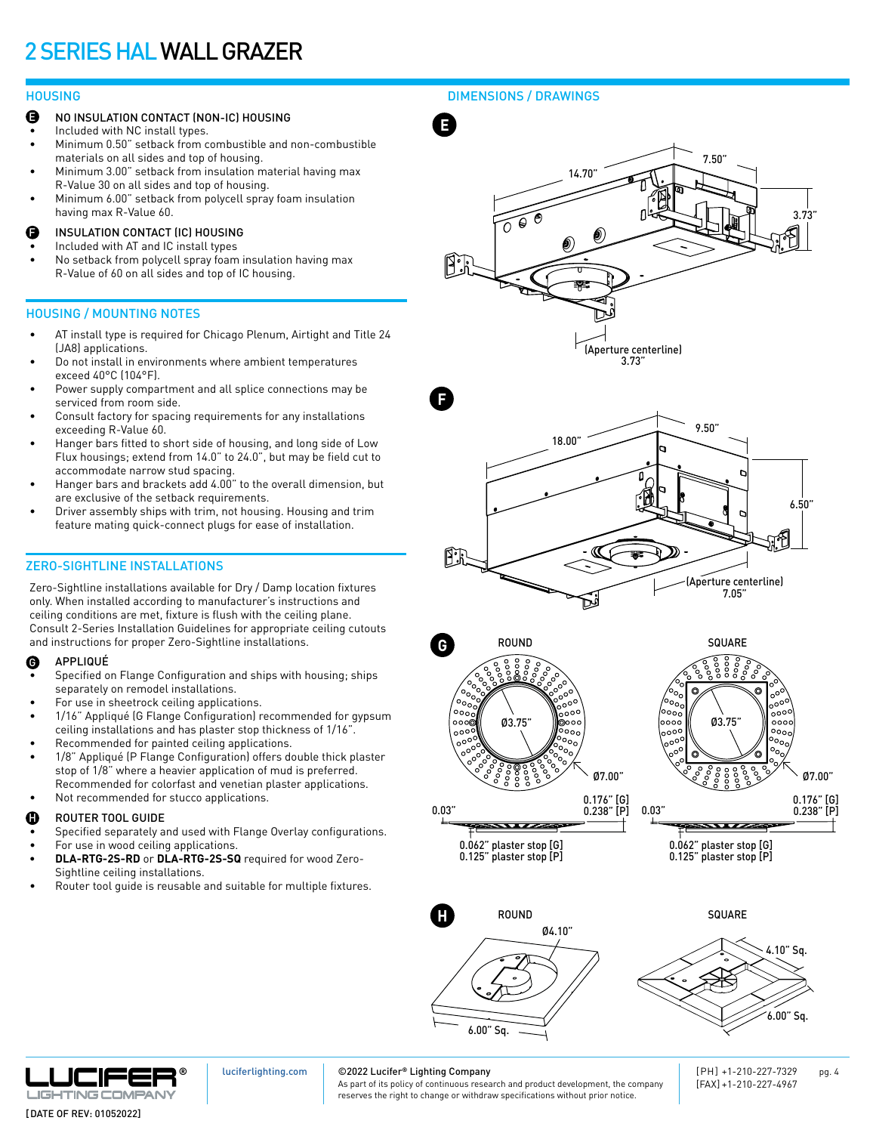- NO INSULATION CONTACT (NON-IC) HOUSING E
- Included with NC install types.
- Minimum 0.50" setback from combustible and non-combustible materials on all sides and top of housing.
- Minimum 3.00" setback from insulation material having max R-Value 30 on all sides and top of housing.
- Minimum 6.00" setback from polycell spray foam insulation having max R-Value 60.
- INSULATION CONTACT (IC) HOUSING F
- Included with AT and IC install types
- No setback from polycell spray foam insulation having max R-Value of 60 on all sides and top of IC housing.

### HOUSING / MOUNTING NOTES

- AT install type is required for Chicago Plenum, Airtight and Title 24 (JA8) applications.
- Do not install in environments where ambient temperatures exceed 40°C (104°F).
- Power supply compartment and all splice connections may be serviced from room side.
- Consult factory for spacing requirements for any installations exceeding R-Value 60.
- Hanger bars fitted to short side of housing, and long side of Low Flux housings; extend from 14.0" to 24.0", but may be field cut to accommodate narrow stud spacing.
- Hanger bars and brackets add 4.00" to the overall dimension, but are exclusive of the setback requirements.
- Driver assembly ships with trim, not housing. Housing and trim feature mating quick-connect plugs for ease of installation.

### ZERO-SIGHTLINE INSTALLATIONS

Zero-Sightline installations available for Dry / Damp location fixtures only. When installed according to manufacturer's instructions and ceiling conditions are met, fixture is flush with the ceiling plane. Consult 2-Series Installation Guidelines for appropriate ceiling cutouts and instructions for proper Zero-Sightline installations.

#### APPLIQUÉ G

- Specified on Flange Configuration and ships with housing; ships separately on remodel installations.
- For use in sheetrock ceiling applications.
- 1/16" Appliqué (G Flange Configuration) recommended for gypsum ceiling installations and has plaster stop thickness of 1/16".
- Recommended for painted ceiling applications.
- 1/8" Appliqué (P Flange Configuration) offers double thick plaster stop of 1/8" where a heavier application of mud is preferred. Recommended for colorfast and venetian plaster applications.
- Not recommended for stucco applications.

#### ROUTER TOOL GUIDE H

- Specified separately and used with Flange Overlay configurations.
- For use in wood ceiling applications. **• DLA-RTG-2S-RD** or **DLA-RTG-2S-SQ** required for wood Zero-Sightline ceiling installations.
- Router tool guide is reusable and suitable for multiple fixtures.

### HOUSING DIMENSIONS / DRAWINGS









0.062" plaster stop [G] 0.125" plaster stop [P]



0.062" plaster stop [G] 0.125" plaster stop [P]

 $\overline{\phantom{a}}$ 





[luciferlighting.com](http://luciferlighting.com/)

### ©2022 Lucifer**®** Lighting Company